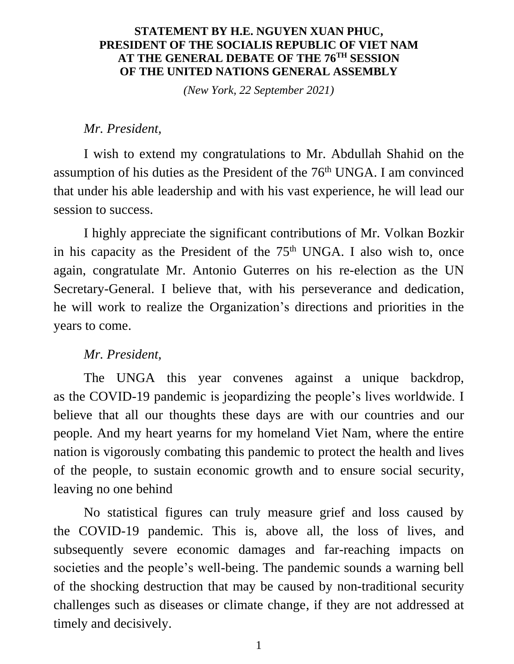#### **STATEMENT BY H.E. NGUYEN XUAN PHUC, PRESIDENT OF THE SOCIALIS REPUBLIC OF VIET NAM AT THE GENERAL DEBATE OF THE 76TH SESSION OF THE UNITED NATIONS GENERAL ASSEMBLY**

*(New York, 22 September 2021)*

#### *Mr. President,*

I wish to extend my congratulations to Mr. Abdullah Shahid on the assumption of his duties as the President of the  $76<sup>th</sup>$  UNGA. I am convinced that under his able leadership and with his vast experience, he will lead our session to success.

I highly appreciate the significant contributions of Mr. Volkan Bozkir in his capacity as the President of the  $75<sup>th</sup>$  UNGA. I also wish to, once again, congratulate Mr. Antonio Guterres on his re-election as the UN Secretary-General. I believe that, with his perseverance and dedication, he will work to realize the Organization's directions and priorities in the years to come.

### *Mr. President,*

The UNGA this year convenes against a unique backdrop, as the COVID-19 pandemic is jeopardizing the people's lives worldwide. I believe that all our thoughts these days are with our countries and our people. And my heart yearns for my homeland Viet Nam, where the entire nation is vigorously combating this pandemic to protect the health and lives of the people, to sustain economic growth and to ensure social security, leaving no one behind

No statistical figures can truly measure grief and loss caused by the COVID-19 pandemic. This is, above all, the loss of lives, and subsequently severe economic damages and far-reaching impacts on societies and the people's well-being. The pandemic sounds a warning bell of the shocking destruction that may be caused by non-traditional security challenges such as diseases or climate change, if they are not addressed at timely and decisively.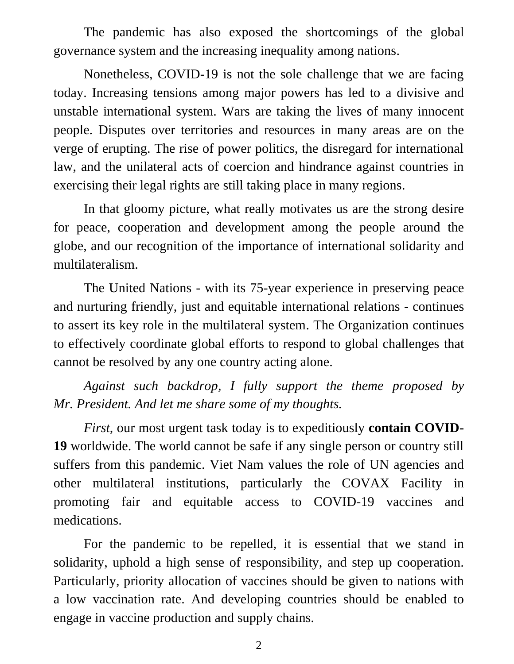The pandemic has also exposed the shortcomings of the global governance system and the increasing inequality among nations.

Nonetheless, COVID-19 is not the sole challenge that we are facing today. Increasing tensions among major powers has led to a divisive and unstable international system. Wars are taking the lives of many innocent people. Disputes over territories and resources in many areas are on the verge of erupting. The rise of power politics, the disregard for international law, and the unilateral acts of coercion and hindrance against countries in exercising their legal rights are still taking place in many regions.

In that gloomy picture, what really motivates us are the strong desire for peace, cooperation and development among the people around the globe, and our recognition of the importance of international solidarity and multilateralism.

The United Nations - with its 75-year experience in preserving peace and nurturing friendly, just and equitable international relations - continues to assert its key role in the multilateral system. The Organization continues to effectively coordinate global efforts to respond to global challenges that cannot be resolved by any one country acting alone.

*Against such backdrop, I fully support the theme proposed by Mr. President. And let me share some of my thoughts.*

*First*, our most urgent task today is to expeditiously **contain COVID-19** worldwide. The world cannot be safe if any single person or country still suffers from this pandemic. Viet Nam values the role of UN agencies and other multilateral institutions, particularly the COVAX Facility in promoting fair and equitable access to COVID-19 vaccines and medications.

For the pandemic to be repelled, it is essential that we stand in solidarity, uphold a high sense of responsibility, and step up cooperation. Particularly, priority allocation of vaccines should be given to nations with a low vaccination rate. And developing countries should be enabled to engage in vaccine production and supply chains.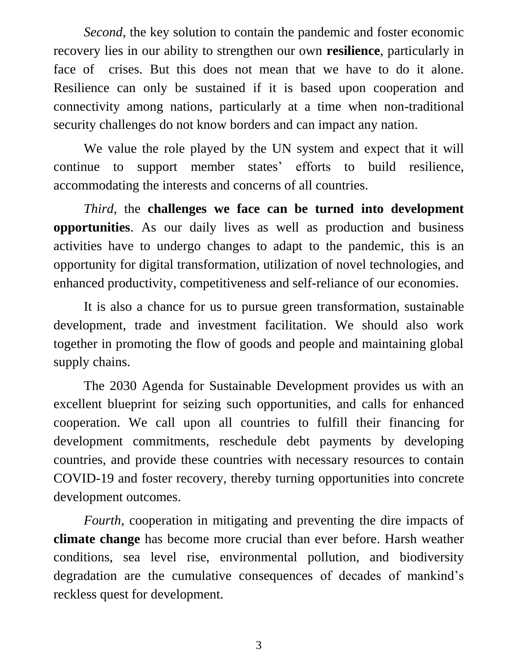*Second*, the key solution to contain the pandemic and foster economic recovery lies in our ability to strengthen our own **resilience**, particularly in face of crises. But this does not mean that we have to do it alone. Resilience can only be sustained if it is based upon cooperation and connectivity among nations, particularly at a time when non-traditional security challenges do not know borders and can impact any nation.

We value the role played by the UN system and expect that it will continue to support member states' efforts to build resilience, accommodating the interests and concerns of all countries.

*Third*, the **challenges we face can be turned into development opportunities**. As our daily lives as well as production and business activities have to undergo changes to adapt to the pandemic, this is an opportunity for digital transformation, utilization of novel technologies, and enhanced productivity, competitiveness and self-reliance of our economies.

It is also a chance for us to pursue green transformation, sustainable development, trade and investment facilitation. We should also work together in promoting the flow of goods and people and maintaining global supply chains.

The 2030 Agenda for Sustainable Development provides us with an excellent blueprint for seizing such opportunities, and calls for enhanced cooperation. We call upon all countries to fulfill their financing for development commitments, reschedule debt payments by developing countries, and provide these countries with necessary resources to contain COVID-19 and foster recovery, thereby turning opportunities into concrete development outcomes.

*Fourth*, cooperation in mitigating and preventing the dire impacts of **climate change** has become more crucial than ever before. Harsh weather conditions, sea level rise, environmental pollution, and biodiversity degradation are the cumulative consequences of decades of mankind's reckless quest for development.

3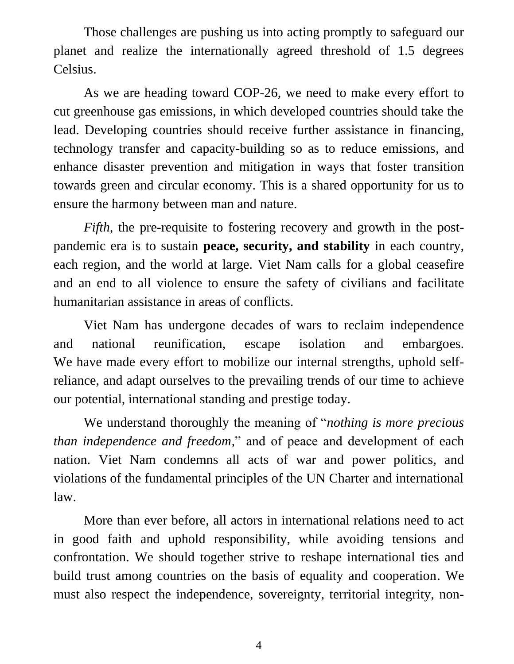Those challenges are pushing us into acting promptly to safeguard our planet and realize the internationally agreed threshold of 1.5 degrees Celsius.

As we are heading toward COP-26, we need to make every effort to cut greenhouse gas emissions, in which developed countries should take the lead. Developing countries should receive further assistance in financing, technology transfer and capacity-building so as to reduce emissions, and enhance disaster prevention and mitigation in ways that foster transition towards green and circular economy. This is a shared opportunity for us to ensure the harmony between man and nature.

*Fifth*, the pre-requisite to fostering recovery and growth in the postpandemic era is to sustain **peace, security, and stability** in each country, each region, and the world at large. Viet Nam calls for a global ceasefire and an end to all violence to ensure the safety of civilians and facilitate humanitarian assistance in areas of conflicts.

Viet Nam has undergone decades of wars to reclaim independence and national reunification, escape isolation and embargoes. We have made every effort to mobilize our internal strengths, uphold selfreliance, and adapt ourselves to the prevailing trends of our time to achieve our potential, international standing and prestige today.

We understand thoroughly the meaning of "*nothing is more precious than independence and freedom,*" and of peace and development of each nation. Viet Nam condemns all acts of war and power politics, and violations of the fundamental principles of the UN Charter and international law.

More than ever before, all actors in international relations need to act in good faith and uphold responsibility, while avoiding tensions and confrontation. We should together strive to reshape international ties and build trust among countries on the basis of equality and cooperation. We must also respect the independence, sovereignty, territorial integrity, non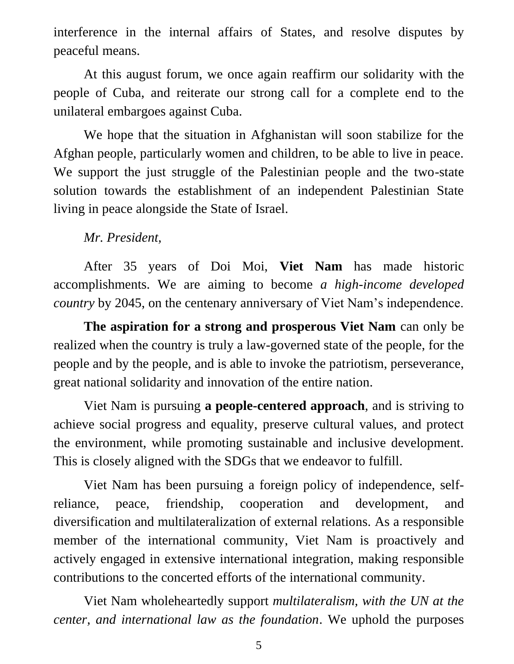interference in the internal affairs of States, and resolve disputes by peaceful means.

At this august forum, we once again reaffirm our solidarity with the people of Cuba, and reiterate our strong call for a complete end to the unilateral embargoes against Cuba.

We hope that the situation in Afghanistan will soon stabilize for the Afghan people, particularly women and children, to be able to live in peace. We support the just struggle of the Palestinian people and the two-state solution towards the establishment of an independent Palestinian State living in peace alongside the State of Israel.

## *Mr. President,*

After 35 years of Doi Moi, **Viet Nam** has made historic accomplishments. We are aiming to become *a high*-*income developed country* by 2045, on the centenary anniversary of Viet Nam's independence.

**The aspiration for a strong and prosperous Viet Nam** can only be realized when the country is truly a law-governed state of the people, for the people and by the people, and is able to invoke the patriotism, perseverance, great national solidarity and innovation of the entire nation.

Viet Nam is pursuing **a people-centered approach**, and is striving to achieve social progress and equality, preserve cultural values, and protect the environment, while promoting sustainable and inclusive development. This is closely aligned with the SDGs that we endeavor to fulfill.

Viet Nam has been pursuing a foreign policy of independence, selfreliance, peace, friendship, cooperation and development, and diversification and multilateralization of external relations. As a responsible member of the international community, Viet Nam is proactively and actively engaged in extensive international integration, making responsible contributions to the concerted efforts of the international community.

Viet Nam wholeheartedly support *multilateralism, with the UN at the center, and international law as the foundation*. We uphold the purposes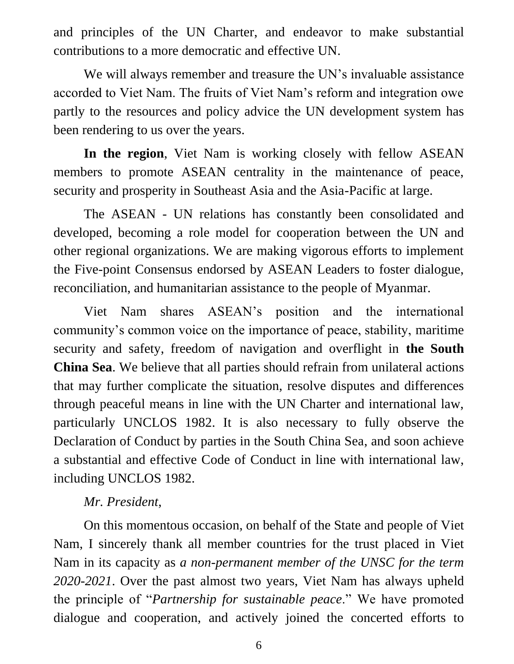and principles of the UN Charter, and endeavor to make substantial contributions to a more democratic and effective UN.

We will always remember and treasure the UN's invaluable assistance accorded to Viet Nam. The fruits of Viet Nam's reform and integration owe partly to the resources and policy advice the UN development system has been rendering to us over the years.

**In the region**, Viet Nam is working closely with fellow ASEAN members to promote ASEAN centrality in the maintenance of peace, security and prosperity in Southeast Asia and the Asia-Pacific at large.

The ASEAN - UN relations has constantly been consolidated and developed, becoming a role model for cooperation between the UN and other regional organizations. We are making vigorous efforts to implement the Five-point Consensus endorsed by ASEAN Leaders to foster dialogue, reconciliation, and humanitarian assistance to the people of Myanmar.

Viet Nam shares ASEAN's position and the international community's common voice on the importance of peace, stability, maritime security and safety, freedom of navigation and overflight in **the South China Sea**. We believe that all parties should refrain from unilateral actions that may further complicate the situation, resolve disputes and differences through peaceful means in line with the UN Charter and international law, particularly UNCLOS 1982. It is also necessary to fully observe the Declaration of Conduct by parties in the South China Sea, and soon achieve a substantial and effective Code of Conduct in line with international law, including UNCLOS 1982.

## *Mr. President*,

On this momentous occasion, on behalf of the State and people of Viet Nam, I sincerely thank all member countries for the trust placed in Viet Nam in its capacity as *a non-permanent member of the UNSC for the term 2020-2021*. Over the past almost two years, Viet Nam has always upheld the principle of "*Partnership for sustainable peace*." We have promoted dialogue and cooperation, and actively joined the concerted efforts to